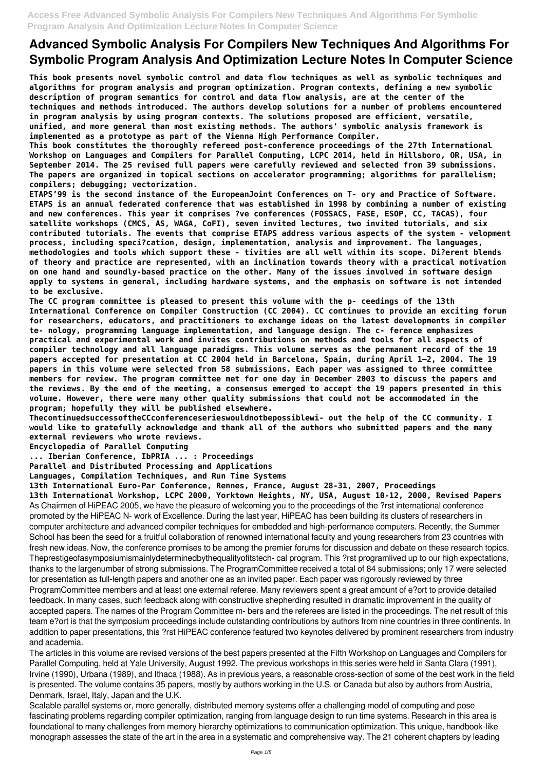**This book presents novel symbolic control and data flow techniques as well as symbolic techniques and algorithms for program analysis and program optimization. Program contexts, defining a new symbolic description of program semantics for control and data flow analysis, are at the center of the techniques and methods introduced. The authors develop solutions for a number of problems encountered in program analysis by using program contexts. The solutions proposed are efficient, versatile, unified, and more general than most existing methods. The authors' symbolic analysis framework is implemented as a prototype as part of the Vienna High Performance Compiler.**

**This book constitutes the thoroughly refereed post-conference proceedings of the 27th International Workshop on Languages and Compilers for Parallel Computing, LCPC 2014, held in Hillsboro, OR, USA, in September 2014. The 25 revised full papers were carefully reviewed and selected from 39 submissions. The papers are organized in topical sections on accelerator programming; algorithms for parallelism; compilers; debugging; vectorization.**

**ETAPS'99 is the second instance of the EuropeanJoint Conferences on T- ory and Practice of Software. ETAPS is an annual federated conference that was established in 1998 by combining a number of existing and new conferences. This year it comprises ?ve conferences (FOSSACS, FASE, ESOP, CC, TACAS), four satellite workshops (CMCS, AS, WAGA, CoFI), seven invited lectures, two invited tutorials, and six contributed tutorials. The events that comprise ETAPS address various aspects of the system - velopment process, including speci?cation, design, implementation, analysis and improvement. The languages, methodologies and tools which support these - tivities are all well within its scope. Di?erent blends of theory and practice are represented, with an inclination towards theory with a practical motivation on one hand and soundly-based practice on the other. Many of the issues involved in software design apply to systems in general, including hardware systems, and the emphasis on software is not intended to be exclusive.**

**The CC program committee is pleased to present this volume with the p- ceedings of the 13th International Conference on Compiler Construction (CC 2004). CC continues to provide an exciting forum for researchers, educators, and practitioners to exchange ideas on the latest developments in compiler te- nology, programming language implementation, and language design. The c- ference emphasizes practical and experimental work and invites contributions on methods and tools for all aspects of compiler technology and all language paradigms. This volume serves as the permanent record of the 19 papers accepted for presentation at CC 2004 held in Barcelona, Spain, during April 1–2, 2004. The 19 papers in this volume were selected from 58 submissions. Each paper was assigned to three committee members for review. The program committee met for one day in December 2003 to discuss the papers and the reviews. By the end of the meeting, a consensus emerged to accept the 19 papers presented in this volume. However, there were many other quality submissions that could not be accommodated in the program; hopefully they will be published elsewhere.**

**ThecontinuedsuccessoftheCCconferenceserieswouldnotbepossiblewi- out the help of the CC community. I would like to gratefully acknowledge and thank all of the authors who submitted papers and the many external reviewers who wrote reviews.**

**Encyclopedia of Parallel Computing**

**... Iberian Conference, IbPRIA ... : Proceedings**

**Parallel and Distributed Processing and Applications**

**Languages, Compilation Techniques, and Run Time Systems**

**13th International Euro-Par Conference, Rennes, France, August 28-31, 2007, Proceedings**

**13th International Workshop, LCPC 2000, Yorktown Heights, NY, USA, August 10-12, 2000, Revised Papers** As Chairmen of HiPEAC 2005, we have the pleasure of welcoming you to the proceedings of the ?rst international conference promoted by the HiPEAC N- work of Excellence. During the last year, HiPEAC has been building its clusters of researchers in computer architecture and advanced compiler techniques for embedded and high-performance computers. Recently, the Summer School has been the seed for a fruitful collaboration of renowned international faculty and young researchers from 23 countries with fresh new ideas. Now, the conference promises to be among the premier forums for discussion and debate on these research topics. Theprestigeofasymposiumismainlydeterminedbythequalityofitstech- cal program. This ?rst programlived up to our high expectations, thanks to the largenumber of strong submissions. The ProgramCommittee received a total of 84 submissions; only 17 were selected for presentation as full-length papers and another one as an invited paper. Each paper was rigorously reviewed by three ProgramCommittee members and at least one external referee. Many reviewers spent a great amount of e?ort to provide detailed feedback. In many cases, such feedback along with constructive shepherding resulted in dramatic improvement in the quality of accepted papers. The names of the Program Committee m- bers and the referees are listed in the proceedings. The net result of this team e?ort is that the symposium proceedings include outstanding contributions by authors from nine countries in three continents. In addition to paper presentations, this ?rst HiPEAC conference featured two keynotes delivered by prominent researchers from industry and academia. The articles in this volume are revised versions of the best papers presented at the Fifth Workshop on Languages and Compilers for Parallel Computing, held at Yale University, August 1992. The previous workshops in this series were held in Santa Clara (1991), Irvine (1990), Urbana (1989), and Ithaca (1988). As in previous years, a reasonable cross-section of some of the best work in the field is presented. The volume contains 35 papers, mostly by authors working in the U.S. or Canada but also by authors from Austria, Denmark, Israel, Italy, Japan and the U.K. Scalable parallel systems or, more generally, distributed memory systems offer a challenging model of computing and pose fascinating problems regarding compiler optimization, ranging from language design to run time systems. Research in this area is foundational to many challenges from memory hierarchy optimizations to communication optimization. This unique, handbook-like monograph assesses the state of the art in the area in a systematic and comprehensive way. The 21 coherent chapters by leading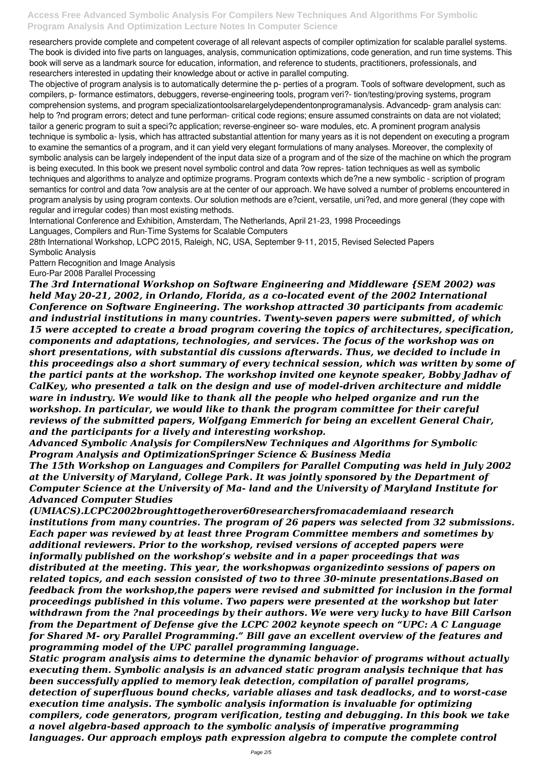researchers provide complete and competent coverage of all relevant aspects of compiler optimization for scalable parallel systems. The book is divided into five parts on languages, analysis, communication optimizations, code generation, and run time systems. This book will serve as a landmark source for education, information, and reference to students, practitioners, professionals, and researchers interested in updating their knowledge about or active in parallel computing.

The objective of program analysis is to automatically determine the p- perties of a program. Tools of software development, such as compilers, p- formance estimators, debuggers, reverse-engineering tools, program veri?- tion/testing/proving systems, program comprehension systems, and program specializationtoolsarelargelydependentonprogramanalysis. Advancedp- gram analysis can: help to ?nd program errors; detect and tune performan- critical code regions; ensure assumed constraints on data are not violated; tailor a generic program to suit a speci?c application; reverse-engineer so- ware modules, etc. A prominent program analysis technique is symbolic a- lysis, which has attracted substantial attention for many years as it is not dependent on executing a program to examine the semantics of a program, and it can yield very elegant formulations of many analyses. Moreover, the complexity of symbolic analysis can be largely independent of the input data size of a program and of the size of the machine on which the program is being executed. In this book we present novel symbolic control and data ?ow repres- tation techniques as well as symbolic techniques and algorithms to analyze and optimize programs. Program contexts which de?ne a new symbolic - scription of program semantics for control and data ?ow analysis are at the center of our approach. We have solved a number of problems encountered in program analysis by using program contexts. Our solution methods are e?cient, versatile, uni?ed, and more general (they cope with regular and irregular codes) than most existing methods.

International Conference and Exhibition, Amsterdam, The Netherlands, April 21-23, 1998 Proceedings

Languages, Compilers and Run-Time Systems for Scalable Computers

28th International Workshop, LCPC 2015, Raleigh, NC, USA, September 9-11, 2015, Revised Selected Papers Symbolic Analysis

Pattern Recognition and Image Analysis Euro-Par 2008 Parallel Processing

*The 3rd International Workshop on Software Engineering and Middleware {SEM 2002) was held May 20-21, 2002, in Orlando, Florida, as a co-located event of the 2002 International Conference on Software Engineering. The workshop attracted 30 participants from academic and industrial institutions in many countries. Twenty-seven papers were submitted, of which 15 were accepted to create a broad program covering the topics of architectures, specification, components and adaptations, technologies, and services. The focus of the workshop was on short presentations, with substantial dis cussions afterwards. Thus, we decided to include in this proceedings also a short summary of every technical session, which was written by some of the partici pants at the workshop. The workshop invited one keynote speaker, Bobby Jadhav of CalKey, who presented a talk on the design and use of model-driven architecture and middle ware in industry. We would like to thank all the people who helped organize and run the workshop. In particular, we would like to thank the program committee for their careful reviews of the submitted papers, Wolfgang Emmerich for being an excellent General Chair, and the participants for a lively and interesting workshop.*

*Advanced Symbolic Analysis for CompilersNew Techniques and Algorithms for Symbolic Program Analysis and OptimizationSpringer Science & Business Media*

*The 15th Workshop on Languages and Compilers for Parallel Computing was held in July 2002 at the University of Maryland, College Park. It was jointly sponsored by the Department of Computer Science at the University of Ma- land and the University of Maryland Institute for Advanced Computer Studies*

*(UMIACS).LCPC2002broughttogetherover60researchersfromacademiaand research institutions from many countries. The program of 26 papers was selected from 32 submissions. Each paper was reviewed by at least three Program Committee members and sometimes by additional reviewers. Prior to the workshop, revised versions of accepted papers were informally published on the workshop's website and in a paper proceedings that was distributed at the meeting. This year, the workshopwas organizedinto sessions of papers on related topics, and each session consisted of two to three 30-minute presentations.Based on feedback from the workshop,the papers were revised and submitted for inclusion in the formal proceedings published in this volume. Two papers were presented at the workshop but later withdrawn from the ?nal proceedings by their authors. We were very lucky to have Bill Carlson from the Department of Defense give the LCPC 2002 keynote speech on "UPC: A C Language for Shared M- ory Parallel Programming." Bill gave an excellent overview of the features and programming model of the UPC parallel programming language. Static program analysis aims to determine the dynamic behavior of programs without actually executing them. Symbolic analysis is an advanced static program analysis technique that has been successfully applied to memory leak detection, compilation of parallel programs, detection of superfluous bound checks, variable aliases and task deadlocks, and to worst-case execution time analysis. The symbolic analysis information is invaluable for optimizing compilers, code generators, program verification, testing and debugging. In this book we take a novel algebra-based approach to the symbolic analysis of imperative programming languages. Our approach employs path expression algebra to compute the complete control*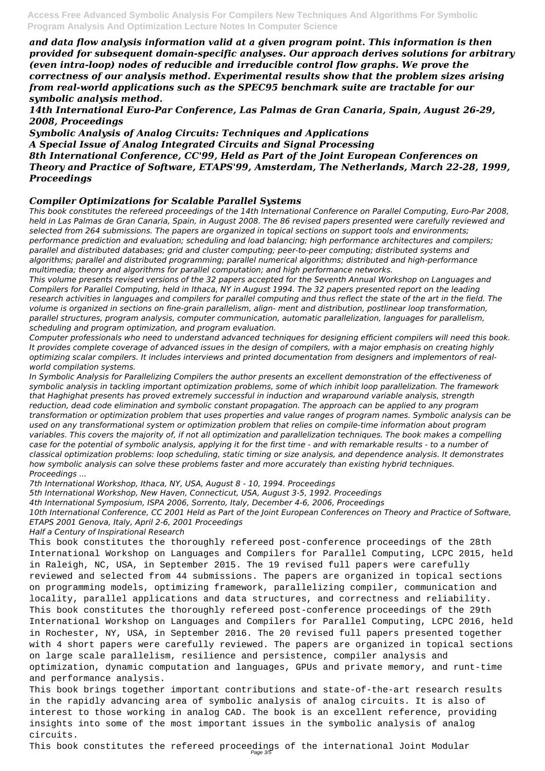*and data flow analysis information valid at a given program point. This information is then provided for subsequent domain-specific analyses. Our approach derives solutions for arbitrary (even intra-loop) nodes of reducible and irreducible control flow graphs. We prove the correctness of our analysis method. Experimental results show that the problem sizes arising from real-world applications such as the SPEC95 benchmark suite are tractable for our symbolic analysis method.*

*14th International Euro-Par Conference, Las Palmas de Gran Canaria, Spain, August 26-29, 2008, Proceedings*

*Symbolic Analysis of Analog Circuits: Techniques and Applications A Special Issue of Analog Integrated Circuits and Signal Processing 8th International Conference, CC'99, Held as Part of the Joint European Conferences on Theory and Practice of Software, ETAPS'99, Amsterdam, The Netherlands, March 22-28, 1999, Proceedings*

#### *Compiler Optimizations for Scalable Parallel Systems*

*This book constitutes the refereed proceedings of the 14th International Conference on Parallel Computing, Euro-Par 2008, held in Las Palmas de Gran Canaria, Spain, in August 2008. The 86 revised papers presented were carefully reviewed and selected from 264 submissions. The papers are organized in topical sections on support tools and environments; performance prediction and evaluation; scheduling and load balancing; high performance architectures and compilers; parallel and distributed databases; grid and cluster computing; peer-to-peer computing; distributed systems and algorithms; parallel and distributed programming; parallel numerical algorithms; distributed and high-performance multimedia; theory and algorithms for parallel computation; and high performance networks.*

*This volume presents revised versions of the 32 papers accepted for the Seventh Annual Workshop on Languages and Compilers for Parallel Computing, held in Ithaca, NY in August 1994. The 32 papers presented report on the leading research activities in languages and compilers for parallel computing and thus reflect the state of the art in the field. The volume is organized in sections on fine-grain parallelism, align- ment and distribution, postlinear loop transformation, parallel structures, program analysis, computer communication, automatic parallelization, languages for parallelism, scheduling and program optimization, and program evaluation.*

*Computer professionals who need to understand advanced techniques for designing efficient compilers will need this book. It provides complete coverage of advanced issues in the design of compilers, with a major emphasis on creating highly optimizing scalar compilers. It includes interviews and printed documentation from designers and implementors of realworld compilation systems.*

This book constitutes the refereed proceedings of the international Joint Modular Page 3/5

*In Symbolic Analysis for Parallelizing Compilers the author presents an excellent demonstration of the effectiveness of symbolic analysis in tackling important optimization problems, some of which inhibit loop parallelization. The framework that Haghighat presents has proved extremely successful in induction and wraparound variable analysis, strength reduction, dead code elimination and symbolic constant propagation. The approach can be applied to any program transformation or optimization problem that uses properties and value ranges of program names. Symbolic analysis can be used on any transformational system or optimization problem that relies on compile-time information about program variables. This covers the majority of, if not all optimization and parallelization techniques. The book makes a compelling case for the potential of symbolic analysis, applying it for the first time - and with remarkable results - to a number of classical optimization problems: loop scheduling, static timing or size analysis, and dependence analysis. It demonstrates how symbolic analysis can solve these problems faster and more accurately than existing hybrid techniques. Proceedings ...*

*7th International Workshop, Ithaca, NY, USA, August 8 - 10, 1994. Proceedings*

*5th International Workshop, New Haven, Connecticut, USA, August 3-5, 1992. Proceedings*

*4th International Symposium, ISPA 2006, Sorrento, Italy, December 4-6, 2006, Proceedings*

*10th International Conference, CC 2001 Held as Part of the Joint European Conferences on Theory and Practice of Software, ETAPS 2001 Genova, Italy, April 2-6, 2001 Proceedings*

*Half a Century of Inspirational Research*

This book constitutes the thoroughly refereed post-conference proceedings of the 28th International Workshop on Languages and Compilers for Parallel Computing, LCPC 2015, held in Raleigh, NC, USA, in September 2015. The 19 revised full papers were carefully reviewed and selected from 44 submissions. The papers are organized in topical sections on programming models, optimizing framework, parallelizing compiler, communication and locality, parallel applications and data structures, and correctness and reliability. This book constitutes the thoroughly refereed post-conference proceedings of the 29th International Workshop on Languages and Compilers for Parallel Computing, LCPC 2016, held in Rochester, NY, USA, in September 2016. The 20 revised full papers presented together with 4 short papers were carefully reviewed. The papers are organized in topical sections on large scale parallelism, resilience and persistence, compiler analysis and optimization, dynamic computation and languages, GPUs and private memory, and runt-time and performance analysis.

This book brings together important contributions and state-of-the-art research results in the rapidly advancing area of symbolic analysis of analog circuits. It is also of interest to those working in analog CAD. The book is an excellent reference, providing insights into some of the most important issues in the symbolic analysis of analog circuits.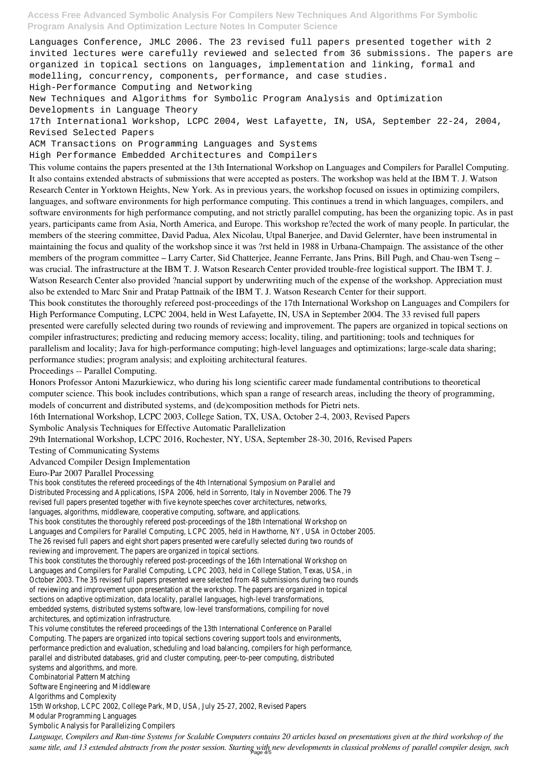Languages Conference, JMLC 2006. The 23 revised full papers presented together with 2 invited lectures were carefully reviewed and selected from 36 submissions. The papers are organized in topical sections on languages, implementation and linking, formal and modelling, concurrency, components, performance, and case studies.

High-Performance Computing and Networking

New Techniques and Algorithms for Symbolic Program Analysis and Optimization Developments in Language Theory

17th International Workshop, LCPC 2004, West Lafayette, IN, USA, September 22-24, 2004, Revised Selected Papers

ACM Transactions on Programming Languages and Systems

High Performance Embedded Architectures and Compilers

This volume contains the papers presented at the 13th International Workshop on Languages and Compilers for Parallel Computing. It also contains extended abstracts of submissions that were accepted as posters. The workshop was held at the IBM T. J. Watson Research Center in Yorktown Heights, New York. As in previous years, the workshop focused on issues in optimizing compilers, languages, and software environments for high performance computing. This continues a trend in which languages, compilers, and software environments for high performance computing, and not strictly parallel computing, has been the organizing topic. As in past years, participants came from Asia, North America, and Europe. This workshop re?ected the work of many people. In particular, the members of the steering committee, David Padua, Alex Nicolau, Utpal Banerjee, and David Gelernter, have been instrumental in maintaining the focus and quality of the workshop since it was ?rst held in 1988 in Urbana-Champaign. The assistance of the other members of the program committee – Larry Carter, Sid Chatterjee, Jeanne Ferrante, Jans Prins, Bill Pugh, and Chau-wen Tseng – was crucial. The infrastructure at the IBM T. J. Watson Research Center provided trouble-free logistical support. The IBM T. J. Watson Research Center also provided ?nancial support by underwriting much of the expense of the workshop. Appreciation must also be extended to Marc Snir and Pratap Pattnaik of the IBM T. J. Watson Research Center for their support.

This book constitutes the thoroughly refereed post-proceedings of the 17th International Workshop on Languages and Compilers for High Performance Computing, LCPC 2004, held in West Lafayette, IN, USA in September 2004. The 33 revised full papers presented were carefully selected during two rounds of reviewing and improvement. The papers are organized in topical sections on compiler infrastructures; predicting and reducing memory access; locality, tiling, and partitioning; tools and techniques for parallelism and locality; Java for high-performance computing; high-level languages and optimizations; large-scale data sharing; performance studies; program analysis; and exploiting architectural features.

Proceedings -- Parallel Computing.

Honors Professor Antoni Mazurkiewicz, who during his long scientific career made fundamental contributions to theoretical computer science. This book includes contributions, which span a range of research areas, including the theory of programming, models of concurrent and distributed systems, and (de)composition methods for Pietri nets.

16th International Workshop, LCPC 2003, College Sation, TX, USA, October 2-4, 2003, Revised Papers

Symbolic Analysis Techniques for Effective Automatic Parallelization

29th International Workshop, LCPC 2016, Rochester, NY, USA, September 28-30, 2016, Revised Papers

Testing of Communicating Systems

Advanced Compiler Design Implementation

#### Euro-Par 2007 Parallel Processing

This book constitutes the refereed proceedings of the 4th International Symposium on Parallel and Distributed Processing and Applications, ISPA 2006, held in Sorrento, Italy in November 2006. The 79 revised full papers presented together with five keynote speeches cover architectures, networks, languages, algorithms, middleware, cooperative computing, software, and applications.

This book constitutes the thoroughly refereed post-proceedings of the 18th International Workshop on Languages and Compilers for Parallel Computing, LCPC 2005, held in Hawthorne, NY, USA in October 2005. The 26 revised full papers and eight short papers presented were carefully selected during two rounds of reviewing and improvement. The papers are organized in topical sections.

This book constitutes the thoroughly refereed post-proceedings of the 16th International Workshop on Languages and Compilers for Parallel Computing, LCPC 2003, held in College Station, Texas, USA, in October 2003. The 35 revised full papers presented were selected from 48 submissions during two rounds of reviewing and improvement upon presentation at the workshop. The papers are organized in topical sections on adaptive optimization, data locality, parallel languages, high-level transformations, embedded systems, distributed systems software, low-level transformations, compiling for novel architectures, and optimization infrastructure. This volume constitutes the refereed proceedings of the 13th International Conference on Parallel Computing. The papers are organized into topical sections covering support tools and environments, performance prediction and evaluation, scheduling and load balancing, compilers for high performance, parallel and distributed databases, grid and cluster computing, peer-to-peer computing, distributed systems and algorithms, and more.

Combinatorial Pattern Matching

Software Engineering and Middleware

Algorithms and Complexity

15th Workshop, LCPC 2002, College Park, MD, USA, July 25-27, 2002, Revised Papers

Modular Programming Languages

Symbolic Analysis for Parallelizing Compilers

*Language, Compilers and Run-time Systems for Scalable Computers contains 20 articles based on presentations given at the third workshop of the same title, and 13 extended abstracts from the poster session. Starting with new developments in classical problems of parallel compiler design, such* Page 4/5